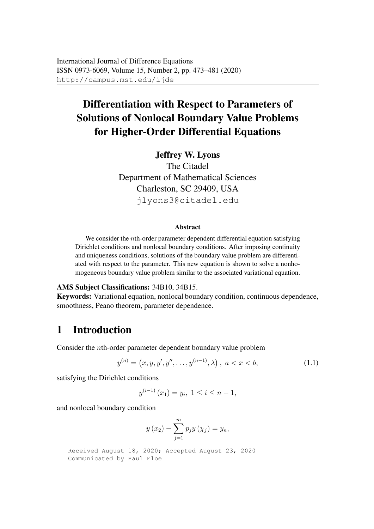# Differentiation with Respect to Parameters of Solutions of Nonlocal Boundary Value Problems for Higher-Order Differential Equations

#### Jeffrey W. Lyons

The Citadel Department of Mathematical Sciences Charleston, SC 29409, USA jlyons3@citadel.edu

#### Abstract

We consider the *n*th-order parameter dependent differential equation satisfying Dirichlet conditions and nonlocal boundary conditions. After imposing continuity and uniqueness conditions, solutions of the boundary value problem are differentiated with respect to the parameter. This new equation is shown to solve a nonhomogeneous boundary value problem similar to the associated variational equation.

#### AMS Subject Classifications: 34B10, 34B15.

Keywords: Variational equation, nonlocal boundary condition, continuous dependence, smoothness, Peano theorem, parameter dependence.

# 1 Introduction

Consider the nth-order parameter dependent boundary value problem

$$
y^{(n)} = (x, y, y', y'', \dots, y^{(n-1)}, \lambda), \ a < x < b,\tag{1.1}
$$

satisfying the Dirichlet conditions

$$
y^{(i-1)}(x_1) = y_i, \ 1 \le i \le n-1,
$$

and nonlocal boundary condition

$$
y(x_2) - \sum_{j=1}^{m} p_j y(x_j) = y_n,
$$

Received August 18, 2020; Accepted August 23, 2020 Communicated by Paul Eloe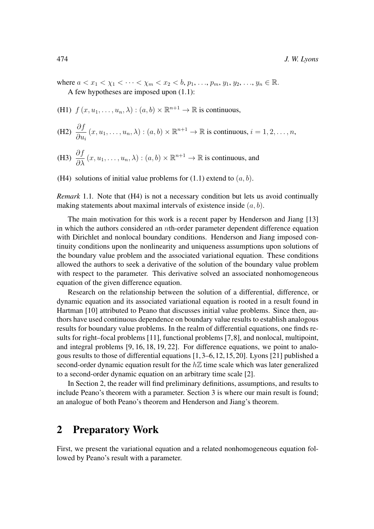where  $a < x_1 < \chi_1 < \cdots < \chi_m < x_2 < b$ ,  $p_1, \ldots, p_m, y_1, y_2, \ldots, y_n \in \mathbb{R}$ . A few hypotheses are imposed upon (1.1):

(H1)  $f(x, u_1, \ldots, u_n, \lambda) : (a, b) \times \mathbb{R}^{n+1} \to \mathbb{R}$  is continuous,

(H2) 
$$
\frac{\partial f}{\partial u_i}(x, u_1, \dots, u_n, \lambda) : (a, b) \times \mathbb{R}^{n+1} \to \mathbb{R}
$$
 is continuous,  $i = 1, 2, \dots, n$ ,

(H3) 
$$
\frac{\partial f}{\partial \lambda}(x, u_1, \dots, u_n, \lambda) : (a, b) \times \mathbb{R}^{n+1} \to \mathbb{R}
$$
 is continuous, and

(H4) solutions of initial value problems for  $(1.1)$  extend to  $(a, b)$ .

*Remark* 1.1. Note that (H4) is not a necessary condition but lets us avoid continually making statements about maximal intervals of existence inside  $(a, b)$ .

The main motivation for this work is a recent paper by Henderson and Jiang [13] in which the authors considered an nth-order parameter dependent difference equation with Dirichlet and nonlocal boundary conditions. Henderson and Jiang imposed continuity conditions upon the nonlinearity and uniqueness assumptions upon solutions of the boundary value problem and the associated variational equation. These conditions allowed the authors to seek a derivative of the solution of the boundary value problem with respect to the parameter. This derivative solved an associated nonhomogeneous equation of the given difference equation.

Research on the relationship between the solution of a differential, difference, or dynamic equation and its associated variational equation is rooted in a result found in Hartman [10] attributed to Peano that discusses initial value problems. Since then, authors have used continuous dependence on boundary value results to establish analogous results for boundary value problems. In the realm of differential equations, one finds results for right–focal problems [11], functional problems [7,8], and nonlocal, multipoint, and integral problems [9, 16, 18, 19, 22]. For difference equations, we point to analogous results to those of differential equations [1, 3–6,12, 15, 20]. Lyons [21] published a second-order dynamic equation result for the  $h\mathbb{Z}$  time scale which was later generalized to a second-order dynamic equation on an arbitrary time scale [2].

In Section 2, the reader will find preliminary definitions, assumptions, and results to include Peano's theorem with a parameter. Section 3 is where our main result is found; an analogue of both Peano's theorem and Henderson and Jiang's theorem.

#### 2 Preparatory Work

First, we present the variational equation and a related nonhomogeneous equation followed by Peano's result with a parameter.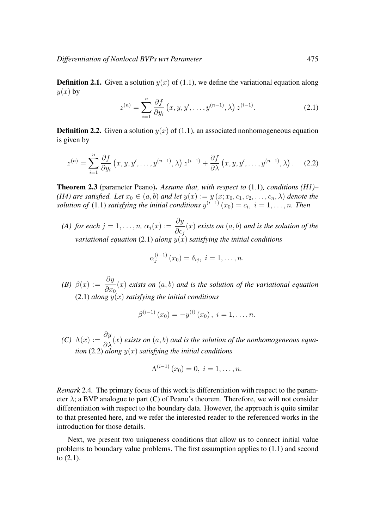**Definition 2.1.** Given a solution  $y(x)$  of (1.1), we define the variational equation along  $y(x)$  by

$$
z^{(n)} = \sum_{i=1}^{n} \frac{\partial f}{\partial y_i} (x, y, y', \dots, y^{(n-1)}, \lambda) z^{(i-1)}.
$$
 (2.1)

**Definition 2.2.** Given a solution  $y(x)$  of (1.1), an associated nonhomogeneous equation is given by

$$
z^{(n)} = \sum_{i=1}^{n} \frac{\partial f}{\partial y_i} (x, y, y', \dots, y^{(n-1)}, \lambda) z^{(i-1)} + \frac{\partial f}{\partial \lambda} (x, y, y', \dots, y^{(n-1)}, \lambda).
$$
 (2.2)

Theorem 2.3 (parameter Peano). *Assume that, with respect to* (1.1)*, conditions (H1)– (H4) are satisfied. Let*  $x_0 \in (a, b)$  *and let*  $y(x) := y(x; x_0, c_1, c_2, \ldots, c_n, \lambda)$  *denote the solution of* (1.1) *satisfying the initial conditions*  $y^{(i-1)}(x_0) = c_i$ ,  $i = 1, ..., n$ . Then

*(A) for each*  $j = 1, \ldots, n$ ,  $\alpha_j(x) := \frac{\partial y}{\partial x_j}$  $\partial c_j$ (x) *exists on* (a, b) *and is the solution of the variational equation* (2.1) *along*  $y(x)$  *satisfying the initial conditions* 

$$
\alpha_j^{(i-1)}(x_0) = \delta_{ij}, \ i = 1, \dots, n.
$$

*(B)*  $\beta(x) := \frac{\partial y}{\partial x}$  $\partial x_0$ (x) *exists on* (a, b) *and is the solution of the variational equation*  $(2.1)$  *along*  $y(x)$  *satisfying the initial conditions* 

$$
\beta^{(i-1)}(x_0) = -y^{(i)}(x_0), i = 1, \ldots, n.
$$

*(C)*  $\Lambda(x) := \frac{\partial y}{\partial \lambda}$  $\frac{\partial g}{\partial \lambda}(x)$  *exists on*  $(a, b)$  *and is the solution of the nonhomogeneous equation* (2.2) *along* y(x) *satisfying the initial conditions*

$$
\Lambda^{(i-1)}(x_0) = 0, \ i = 1, \ldots, n.
$$

*Remark* 2.4*.* The primary focus of this work is differentiation with respect to the parameter  $\lambda$ ; a BVP analogue to part (C) of Peano's theorem. Therefore, we will not consider differentiation with respect to the boundary data. However, the approach is quite similar to that presented here, and we refer the interested reader to the referenced works in the introduction for those details.

Next, we present two uniqueness conditions that allow us to connect initial value problems to boundary value problems. The first assumption applies to (1.1) and second to (2.1).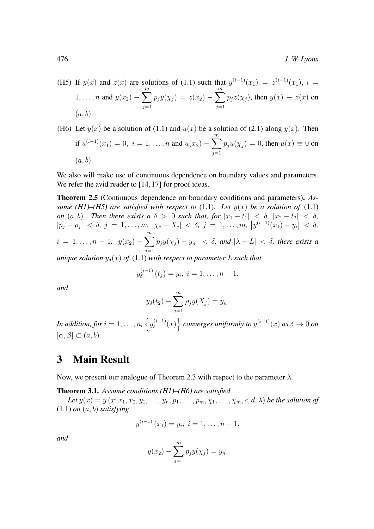- (H5) If  $y(x)$  and  $z(x)$  are solutions of (1.1) such that  $y^{(i-1)}(x_1) = z^{(i-1)}(x_1)$ ,  $i =$ 1, ..., *n* and  $y(x_2) - \sum_{n=1}^{m}$  $j=1$  $p_jy(\chi_j) = z(x_2) - \sum^m$  $j=1$  $p_jz(\chi_j)$ , then  $y(x) \equiv z(x)$  on  $(a, b)$ .
- (H6) Let  $y(x)$  be a solution of (1.1) and  $u(x)$  be a solution of (2.1) along  $y(x)$ . Then if  $u^{(i-1)}(x_1) = 0$ ,  $i = 1, ..., n$  and  $u(x_2) - \sum_{i=1}^{m}$  $j=1$  $p_ju(\chi_j) = 0$ , then  $u(x) \equiv 0$  on  $(a, b)$ .

We also will make use of continuous dependence on boundary values and parameters. We refer the avid reader to [14, 17] for proof ideas.

Theorem 2.5 (Continuous dependence on boundary conditions and parameters). *Assume (H1)–(H5) are satisfied with respect to* (1.1)*. Let*  $y(x)$  *be a solution of* (1.1) *on*  $(a, b)$ *. Then there exists a*  $\delta > 0$  *such that, for*  $|x_1 - t_1| < \delta$ ,  $|x_2 - t_2| < \delta$ *,*  $|p_j - \rho_j| < \delta, j = 1, \ldots, m, |\chi_j - X_j| < \delta, j = 1, \ldots, m, |y^{(i-1)}(x_1) - y_i| < \delta,$  $i = 1, \ldots, n - 1,$  $\begin{array}{c} \begin{array}{c} \begin{array}{c} \begin{array}{c} \end{array}\\ \end{array} \end{array} \end{array}$  $y(x_2) - \sum_{n=1}^{m}$  $j=1$  $p_jy(\chi_j) - y_n$   $< \delta$ , and  $|\lambda - L| < \delta$ , there exists a

*unique solution*  $y_\delta(x)$  *of* (1.1) *with respect to parameter* L *such that* 

$$
y_{\delta}^{(i-1)}(t_j) = y_i, \ i = 1, \ldots, n-1,
$$

*and*

$$
y_{\delta}(t_2) - \sum_{j=1}^m \rho_j y(X_j) = y_n.
$$

*In addition, for*  $i = 1, \ldots, n$ *,*  $\left\{y_{\delta}^{(i-1)}\right\}$  $\{(\delta^{(i-1)}(x)\}\)$  converges uniformly to  $y^{(i-1)}(x)$  as  $\delta \to 0$  on  $[\alpha, \beta] \subset (a, b).$ 

#### 3 Main Result

Now, we present our analogue of Theorem 2.3 with respect to the parameter  $\lambda$ .

Theorem 3.1. *Assume conditions (H1)–(H6) are satisfied.*

Let  $y(x) = y(x; x_1, x_2, y_1, \ldots, y_n, p_1, \ldots, p_m, \chi_1, \ldots, \chi_m, c, d, \lambda)$  *be the solution of* (1.1) *on* (a, b) *satisfying*

$$
y^{(i-1)}(x_1) = y_i, i = 1, \ldots, n-1,
$$

*and*

$$
y(x_2) - \sum_{j=1}^{m} p_j y(\chi_j) = y_n.
$$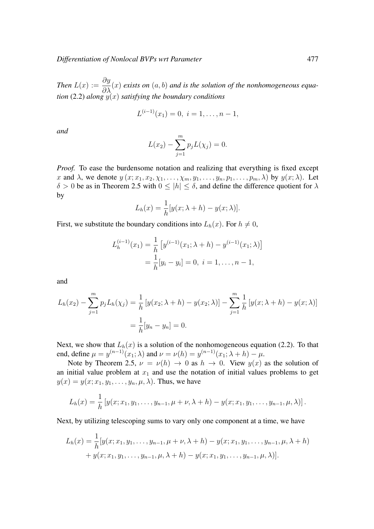*Then*  $L(x) := \frac{\partial y}{\partial \lambda}$  $\frac{\partial^2 g}{\partial \lambda}(x)$  *exists on*  $(a, b)$  *and is the solution of the nonhomogeneous equation* (2.2) *along*  $y(x)$  *satisfying the boundary conditions* 

$$
L^{(i-1)}(x_1) = 0, \ i = 1, \ldots, n-1,
$$

*and*

$$
L(x_2) - \sum_{j=1}^{m} p_j L(\chi_j) = 0.
$$

*Proof.* To ease the burdensome notation and realizing that everything is fixed except x and  $\lambda$ , we denote  $y(x; x_1, x_2, \chi_1, \ldots, \chi_m, y_1, \ldots, y_n, p_1, \ldots, p_m, \lambda)$  by  $y(x; \lambda)$ . Let  $\delta > 0$  be as in Theorem 2.5 with  $0 \leq |h| \leq \delta$ , and define the difference quotient for  $\lambda$ by

$$
L_h(x) = \frac{1}{h}[y(x; \lambda + h) - y(x; \lambda)].
$$

First, we substitute the boundary conditions into  $L<sub>h</sub>(x)$ . For  $h \neq 0$ ,

$$
L_h^{(i-1)}(x_1) = \frac{1}{h} \left[ y^{(i-1)}(x_1; \lambda + h) - y^{(i-1)}(x_1; \lambda) \right]
$$
  
= 
$$
\frac{1}{h} [y_i - y_i] = 0, \ i = 1, \dots, n-1,
$$

and

$$
L_h(x_2) - \sum_{j=1}^m p_j L_h(\chi_j) = \frac{1}{h} \left[ y(x_2; \lambda + h) - y(x_2; \lambda) \right] - \sum_{j=1}^m \frac{1}{h} \left[ y(x; \lambda + h) - y(x; \lambda) \right]
$$
  
=  $\frac{1}{h} [y_n - y_n] = 0.$ 

Next, we show that  $L<sub>h</sub>(x)$  is a solution of the nonhomogeneous equation (2.2). To that end, define  $\mu = y^{(n-1)}(x_1; \lambda)$  and  $\nu = \nu(h) = y^{(n-1)}(x_1; \lambda + h) - \mu$ .

Note by Theorem 2.5,  $\nu = \nu(h) \rightarrow 0$  as  $h \rightarrow 0$ . View  $y(x)$  as the solution of an initial value problem at  $x_1$  and use the notation of initial values problems to get  $y(x) = y(x; x_1, y_1, \dots, y_n, \mu, \lambda)$ . Thus, we have

$$
L_h(x) = \frac{1}{h} \left[ y(x; x_1, y_1, \dots, y_{n-1}, \mu + \nu, \lambda + h) - y(x; x_1, y_1, \dots, y_{n-1}, \mu, \lambda) \right].
$$

Next, by utilizing telescoping sums to vary only one component at a time, we have

$$
L_h(x) = \frac{1}{h} [y(x; x_1, y_1, \dots, y_{n-1}, \mu + \nu, \lambda + h) - y(x; x_1, y_1, \dots, y_{n-1}, \mu, \lambda + h) + y(x; x_1, y_1, \dots, y_{n-1}, \mu, \lambda + h) - y(x; x_1, y_1, \dots, y_{n-1}, \mu, \lambda)].
$$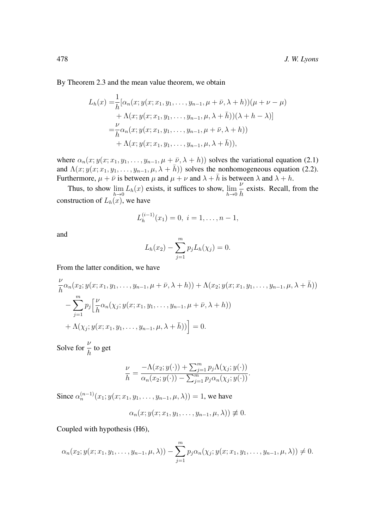By Theorem 2.3 and the mean value theorem, we obtain

$$
L_h(x) = \frac{1}{h} [\alpha_n(x; y(x; x_1, y_1, \dots, y_{n-1}, \mu + \bar{\nu}, \lambda + h))(\mu + \nu - \mu) + \Lambda(x; y(x; x_1, y_1, \dots, y_{n-1}, \mu, \lambda + \bar{h}))(\lambda + h - \lambda)] = \frac{\nu}{h} \alpha_n(x; y(x; x_1, y_1, \dots, y_{n-1}, \mu + \bar{\nu}, \lambda + h)) + \Lambda(x; y(x; x_1, y_1, \dots, y_{n-1}, \mu, \lambda + \bar{h})),
$$

where  $\alpha_n(x; y(x; x_1, y_1, \ldots, y_{n-1}, \mu + \bar{\nu}, \lambda + h))$  solves the variational equation (2.1) and  $\Lambda(x; y(x; x_1, y_1, \ldots, y_{n-1}, \mu, \lambda + \bar{h}))$  solves the nonhomogeneous equation (2.2). Furthermore,  $\mu + \bar{\nu}$  is between  $\mu$  and  $\mu + \nu$  and  $\lambda + \bar{h}$  is between  $\lambda$  and  $\lambda + h$ .

Thus, to show  $\lim_{h\to 0} L_h(x)$  exists, it suffices to show,  $\lim_{h\to 0}$ ν  $\frac{1}{h}$  exists. Recall, from the construction of  $L_h(x)$ , we have

$$
L_h^{(i-1)}(x_1) = 0, \ i = 1, \dots, n-1,
$$

and

$$
L_h(x_2) - \sum_{j=1}^m p_j L_h(\chi_j) = 0.
$$

From the latter condition, we have

$$
\frac{\nu}{h}\alpha_n(x_2; y(x; x_1, y_1, \dots, y_{n-1}, \mu + \bar{\nu}, \lambda + h)) + \Lambda(x_2; y(x; x_1, y_1, \dots, y_{n-1}, \mu, \lambda + \bar{h}))
$$

$$
-\sum_{j=1}^m p_j \left[ \frac{\nu}{h}\alpha_n(\chi_j; y(x; x_1, y_1, \dots, y_{n-1}, \mu + \bar{\nu}, \lambda + h)) + \Lambda(\chi_j; y(x; x_1, y_1, \dots, y_{n-1}, \mu, \lambda + \bar{h})) \right] = 0.
$$

Solve for  $\frac{\nu}{h}$  to get

$$
\frac{\nu}{h} = \frac{-\Lambda(x_2; y(\cdot)) + \sum_{j=1}^m p_j \Lambda(\chi_j; y(\cdot))}{\alpha_n(x_2; y(\cdot)) - \sum_{j=1}^m p_j \alpha_n(\chi_j; y(\cdot))}.
$$

Since  $\alpha_n^{(n-1)}(x_1; y_1; x_1, y_1, \ldots, y_{n-1}, \mu, \lambda) = 1$ , we have

$$
\alpha_n(x; y(x; x_1, y_1, \ldots, y_{n-1}, \mu, \lambda)) \not\equiv 0.
$$

Coupled with hypothesis (H6),

$$
\alpha_n(x_2; y(x; x_1, y_1, \dots, y_{n-1}, \mu, \lambda)) - \sum_{j=1}^m p_j \alpha_n(\chi_j; y(x; x_1, y_1, \dots, y_{n-1}, \mu, \lambda)) \neq 0.
$$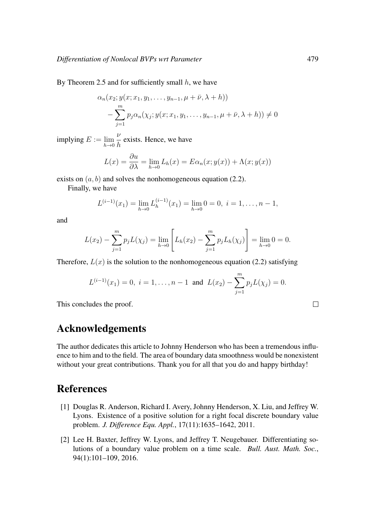By Theorem 2.5 and for sufficiently small  $h$ , we have

$$
\alpha_n(x_2; y(x; x_1, y_1, \dots, y_{n-1}, \mu + \bar{\nu}, \lambda + h))
$$
  
- 
$$
\sum_{j=1}^m p_j \alpha_n(\chi_j; y(x; x_1, y_1, \dots, y_{n-1}, \mu + \bar{\nu}, \lambda + h)) \neq 0
$$

implying  $E := \lim_{h \to 0}$ ν  $\frac{1}{h}$  exists. Hence, we have

$$
L(x) = \frac{\partial u}{\partial \lambda} = \lim_{h \to 0} L_h(x) = E\alpha_n(x; y(x)) + \Lambda(x; y(x))
$$

exists on  $(a, b)$  and solves the nonhomogeneous equation (2.2).

Finally, we have

$$
L^{(i-1)}(x_1) = \lim_{h \to 0} L_h^{(i-1)}(x_1) = \lim_{h \to 0} 0 = 0, \ i = 1, \dots, n-1,
$$

and

$$
L(x_2) - \sum_{j=1}^{m} p_j L(\chi_j) = \lim_{h \to 0} \left[ L_h(x_2) - \sum_{j=1}^{m} p_j L_h(\chi_j) \right] = \lim_{h \to 0} 0 = 0.
$$

Therefore,  $L(x)$  is the solution to the nonhomogeneous equation (2.2) satisfying

$$
L^{(i-1)}(x_1) = 0, \ i = 1, \ldots, n-1 \text{ and } L(x_2) - \sum_{j=1}^{m} p_j L(\chi_j) = 0.
$$

This concludes the proof.

# Acknowledgements

The author dedicates this article to Johnny Henderson who has been a tremendous influence to him and to the field. The area of boundary data smoothness would be nonexistent without your great contributions. Thank you for all that you do and happy birthday!

### References

- [1] Douglas R. Anderson, Richard I. Avery, Johnny Henderson, X. Liu, and Jeffrey W. Lyons. Existence of a positive solution for a right focal discrete boundary value problem. *J. Difference Equ. Appl.*, 17(11):1635–1642, 2011.
- [2] Lee H. Baxter, Jeffrey W. Lyons, and Jeffrey T. Neugebauer. Differentiating solutions of a boundary value problem on a time scale. *Bull. Aust. Math. Soc.*, 94(1):101–109, 2016.

 $\Box$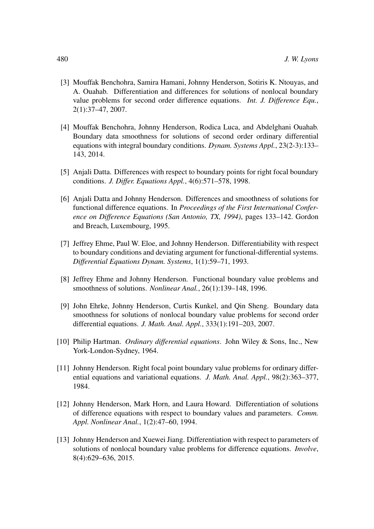- [3] Mouffak Benchohra, Samira Hamani, Johnny Henderson, Sotiris K. Ntouyas, and A. Ouahab. Differentiation and differences for solutions of nonlocal boundary value problems for second order difference equations. *Int. J. Difference Equ.*, 2(1):37–47, 2007.
- [4] Mouffak Benchohra, Johnny Henderson, Rodica Luca, and Abdelghani Ouahab. Boundary data smoothness for solutions of second order ordinary differential equations with integral boundary conditions. *Dynam. Systems Appl.*, 23(2-3):133– 143, 2014.
- [5] Anjali Datta. Differences with respect to boundary points for right focal boundary conditions. *J. Differ. Equations Appl.*, 4(6):571–578, 1998.
- [6] Anjali Datta and Johnny Henderson. Differences and smoothness of solutions for functional difference equations. In *Proceedings of the First International Conference on Difference Equations (San Antonio, TX, 1994)*, pages 133–142. Gordon and Breach, Luxembourg, 1995.
- [7] Jeffrey Ehme, Paul W. Eloe, and Johnny Henderson. Differentiability with respect to boundary conditions and deviating argument for functional-differential systems. *Differential Equations Dynam. Systems*, 1(1):59–71, 1993.
- [8] Jeffrey Ehme and Johnny Henderson. Functional boundary value problems and smoothness of solutions. *Nonlinear Anal.*, 26(1):139–148, 1996.
- [9] John Ehrke, Johnny Henderson, Curtis Kunkel, and Qin Sheng. Boundary data smoothness for solutions of nonlocal boundary value problems for second order differential equations. *J. Math. Anal. Appl.*, 333(1):191–203, 2007.
- [10] Philip Hartman. *Ordinary differential equations*. John Wiley & Sons, Inc., New York-London-Sydney, 1964.
- [11] Johnny Henderson. Right focal point boundary value problems for ordinary differential equations and variational equations. *J. Math. Anal. Appl.*, 98(2):363–377, 1984.
- [12] Johnny Henderson, Mark Horn, and Laura Howard. Differentiation of solutions of difference equations with respect to boundary values and parameters. *Comm. Appl. Nonlinear Anal.*, 1(2):47–60, 1994.
- [13] Johnny Henderson and Xuewei Jiang. Differentiation with respect to parameters of solutions of nonlocal boundary value problems for difference equations. *Involve*, 8(4):629–636, 2015.